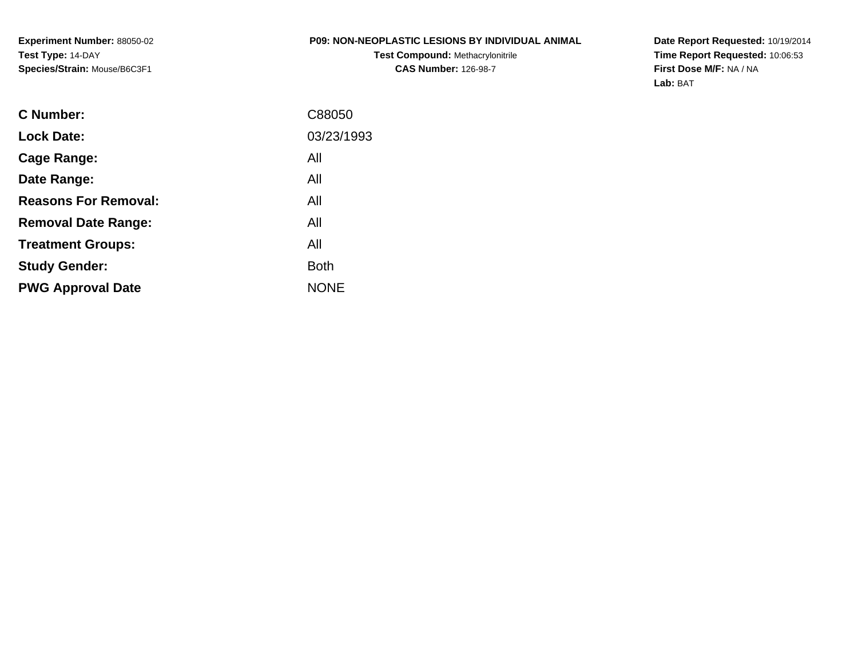### **P09: NON-NEOPLASTIC LESIONS BY INDIVIDUAL ANIMAL**

**Test Compound:** Methacrylonitrile**CAS Number:** 126-98-7

**Date Report Requested:** 10/19/2014 **Time Report Requested:** 10:06:53**First Dose M/F:** NA / NA**Lab:** BAT

| C Number:                   | C88050      |
|-----------------------------|-------------|
| <b>Lock Date:</b>           | 03/23/1993  |
| Cage Range:                 | All         |
| Date Range:                 | All         |
| <b>Reasons For Removal:</b> | All         |
| <b>Removal Date Range:</b>  | All         |
| <b>Treatment Groups:</b>    | All         |
| <b>Study Gender:</b>        | <b>Both</b> |
| <b>PWG Approval Date</b>    | <b>NONE</b> |
|                             |             |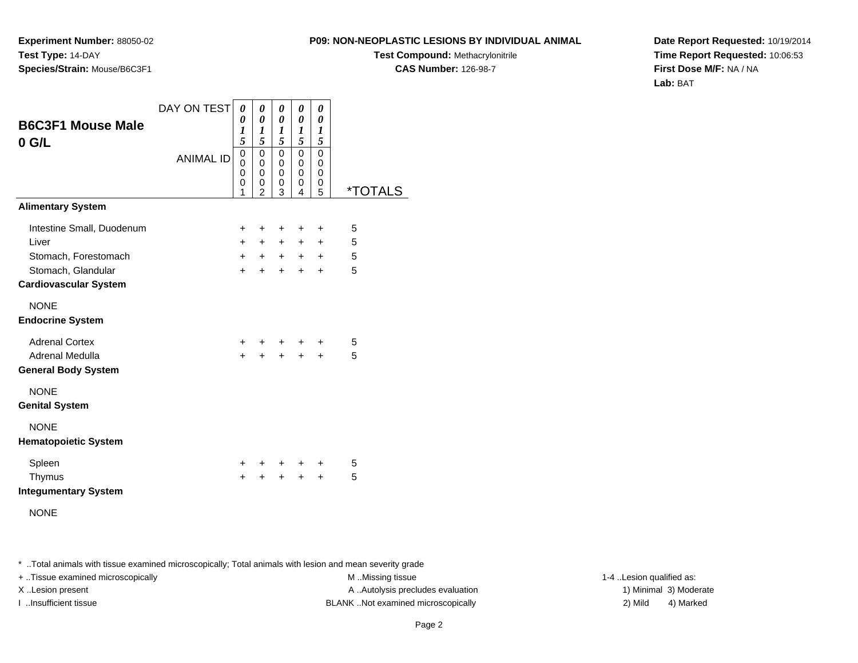**Experiment Number:** 88050-02**Test Type:** 14-DAY**Species/Strain:** Mouse/B6C3F1

**Test Compound:** Methacrylonitrile**CAS Number:** 126-98-7

**Date Report Requested:** 10/19/2014**Time Report Requested:** 10:06:53**First Dose M/F:** NA / NA**Lab:** BAT

| <b>B6C3F1 Mouse Male</b><br>$0$ G/L    | DAY ON TEST<br><b>ANIMAL ID</b> | 0<br>0<br>$\boldsymbol{l}$<br>5<br>$\overline{0}$<br>0<br>0<br>0 | 0<br>$\boldsymbol{\theta}$<br>1<br>5<br>0<br>$\mathbf 0$<br>0<br>0 | 0<br>0<br>1<br>5<br>0<br>0<br>0<br>0 | 0<br>0<br>$\boldsymbol{l}$<br>5<br>$\mathbf 0$<br>$\mathbf 0$<br>0<br>0 | 0<br>0<br>$\boldsymbol{l}$<br>5<br>0<br>0<br>0<br>0 |                       |
|----------------------------------------|---------------------------------|------------------------------------------------------------------|--------------------------------------------------------------------|--------------------------------------|-------------------------------------------------------------------------|-----------------------------------------------------|-----------------------|
| <b>Alimentary System</b>               |                                 | 1                                                                | $\mathfrak{p}$                                                     | 3                                    | 4                                                                       | 5                                                   | <i><b>*TOTALS</b></i> |
|                                        |                                 |                                                                  |                                                                    |                                      |                                                                         |                                                     |                       |
| Intestine Small, Duodenum              |                                 | $+$                                                              | $\pm$                                                              | $\ddot{}$                            | $\ddot{}$                                                               | $\ddot{}$                                           | 5                     |
| Liver                                  |                                 | $+$                                                              | $+$                                                                |                                      | $+$ $+$                                                                 | $+$                                                 | 5                     |
| Stomach, Forestomach                   |                                 | $+$                                                              |                                                                    |                                      | $+$ $+$ $+$ $+$                                                         |                                                     | 5                     |
| Stomach, Glandular                     |                                 | $+$                                                              | $+$                                                                | $+$                                  | $+$                                                                     | $\ddot{}$                                           | 5                     |
| <b>Cardiovascular System</b>           |                                 |                                                                  |                                                                    |                                      |                                                                         |                                                     |                       |
| <b>NONE</b><br><b>Endocrine System</b> |                                 |                                                                  |                                                                    |                                      |                                                                         |                                                     |                       |
| <b>Adrenal Cortex</b>                  |                                 | $+$ $-$                                                          |                                                                    |                                      | $+$ $+$ $+$                                                             | $\pm$                                               | 5                     |
| Adrenal Medulla                        |                                 | $+$                                                              |                                                                    |                                      | $+ + + +$                                                               |                                                     | 5                     |
| <b>General Body System</b>             |                                 |                                                                  |                                                                    |                                      |                                                                         |                                                     |                       |
| <b>NONE</b><br><b>Genital System</b>   |                                 |                                                                  |                                                                    |                                      |                                                                         |                                                     |                       |
| <b>NONE</b>                            |                                 |                                                                  |                                                                    |                                      |                                                                         |                                                     |                       |
| <b>Hematopoietic System</b>            |                                 |                                                                  |                                                                    |                                      |                                                                         |                                                     |                       |
| Spleen                                 |                                 | $\pm$                                                            |                                                                    |                                      | $+$ $+$                                                                 | $\ddot{}$                                           | 5                     |
| Thymus                                 |                                 | $\ddot{}$                                                        | $+$                                                                | $+$                                  | $+$                                                                     | $+$                                                 | 5                     |
| <b>Integumentary System</b>            |                                 |                                                                  |                                                                    |                                      |                                                                         |                                                     |                       |
| <b>NONE</b>                            |                                 |                                                                  |                                                                    |                                      |                                                                         |                                                     |                       |

NONE

\* ..Total animals with tissue examined microscopically; Total animals with lesion and mean severity grade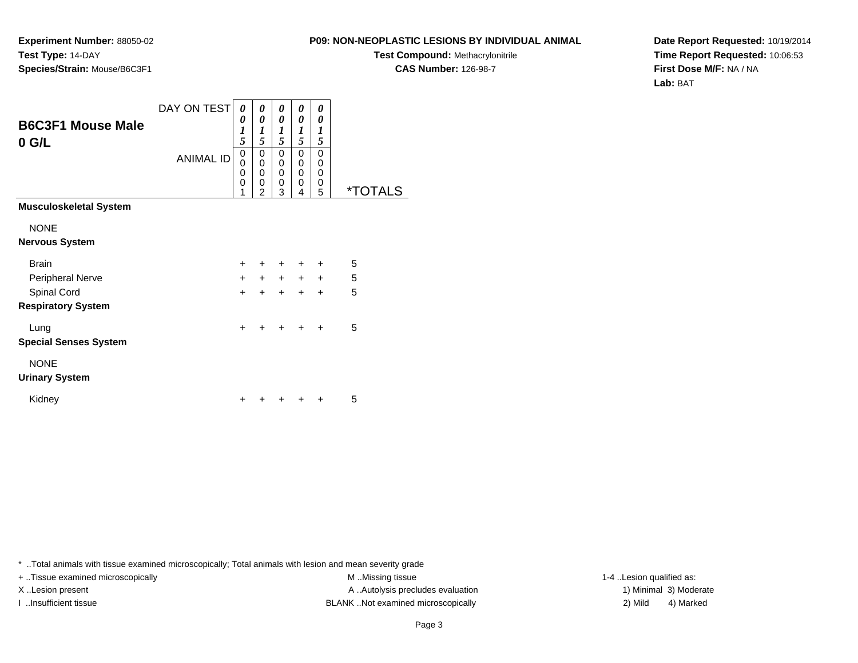**Experiment Number:** 88050-02**Test Type:** 14-DAY**Species/Strain:** Mouse/B6C3F1

**Test Compound:** Methacrylonitrile**CAS Number:** 126-98-7

**Date Report Requested:** 10/19/2014**Time Report Requested:** 10:06:53**First Dose M/F:** NA / NA**Lab:** BAT

| <b>B6C3F1 Mouse Male</b><br>$0$ G/L | DAY ON TEST<br><b>ANIMAL ID</b> | 0<br>0<br>$\boldsymbol{l}$<br>5<br>0<br>0<br>0<br>$\Omega$<br>1 | 0<br>0<br>1<br>5<br>0<br>0<br>0<br>0<br>$\mathfrak{p}$ | 0<br>0<br>1<br>5<br>0<br>0<br>0<br>0<br>3 | 0<br>0<br>$\boldsymbol{l}$<br>5<br>$\mathbf 0$<br>$\mathbf 0$<br>$\mathbf 0$<br>0<br>4 | 0<br>0<br>$\boldsymbol{l}$<br>5<br>0<br>0<br>0<br>0<br>5 | <i><b>*TOTALS</b></i> |
|-------------------------------------|---------------------------------|-----------------------------------------------------------------|--------------------------------------------------------|-------------------------------------------|----------------------------------------------------------------------------------------|----------------------------------------------------------|-----------------------|
| <b>Musculoskeletal System</b>       |                                 |                                                                 |                                                        |                                           |                                                                                        |                                                          |                       |
| <b>NONE</b>                         |                                 |                                                                 |                                                        |                                           |                                                                                        |                                                          |                       |
| <b>Nervous System</b>               |                                 |                                                                 |                                                        |                                           |                                                                                        |                                                          |                       |
| <b>Brain</b>                        |                                 | $\ddot{}$                                                       | ÷                                                      | $\ddot{}$                                 | $\ddot{}$                                                                              | $\ddot{}$                                                | 5                     |
| Peripheral Nerve                    |                                 | $+$                                                             | $+$                                                    | $+$                                       | $+$                                                                                    | $+$                                                      | 5                     |
| Spinal Cord                         |                                 | $\ddot{}$                                                       | $\ddot{}$                                              | $\ddot{}$                                 | $\ddot{}$                                                                              | $\ddot{}$                                                | 5                     |
| <b>Respiratory System</b>           |                                 |                                                                 |                                                        |                                           |                                                                                        |                                                          |                       |
| Lung                                |                                 | $\ddot{}$                                                       |                                                        | $\ddot{}$                                 | $\ddot{}$                                                                              | $\ddot{}$                                                | 5                     |
| <b>Special Senses System</b>        |                                 |                                                                 |                                                        |                                           |                                                                                        |                                                          |                       |
| <b>NONE</b>                         |                                 |                                                                 |                                                        |                                           |                                                                                        |                                                          |                       |
| <b>Urinary System</b>               |                                 |                                                                 |                                                        |                                           |                                                                                        |                                                          |                       |
| Kidney                              |                                 |                                                                 |                                                        |                                           |                                                                                        |                                                          | 5                     |

\* ..Total animals with tissue examined microscopically; Total animals with lesion and mean severity grade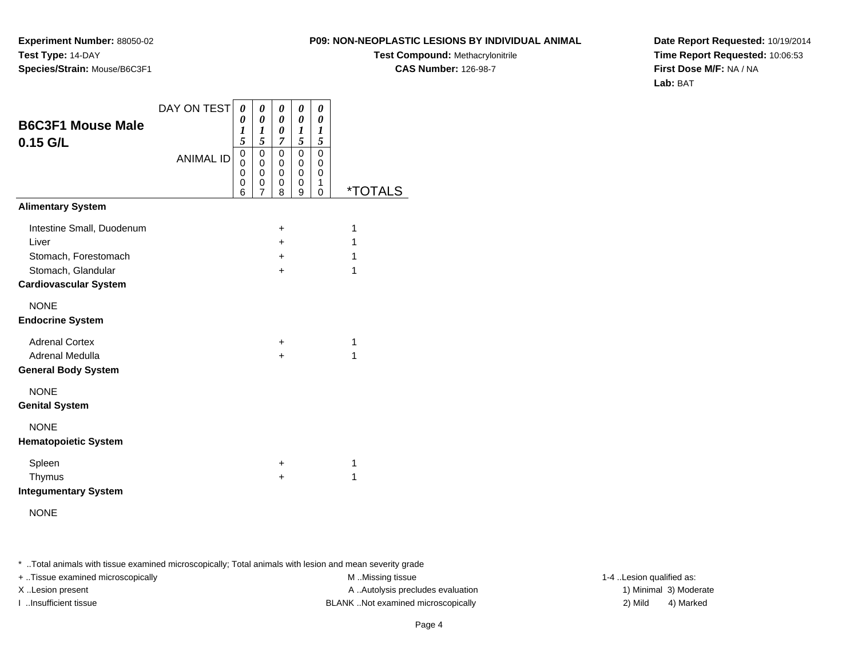**Experiment Number:** 88050-02**Test Type:** 14-DAY**Species/Strain:** Mouse/B6C3F1

**Test Compound:** Methacrylonitrile**CAS Number:** 126-98-7

**Date Report Requested:** 10/19/2014**Time Report Requested:** 10:06:53**First Dose M/F:** NA / NA**Lab:** BAT

| <b>B6C3F1 Mouse Male</b><br>$0.15$ G/L                                                                           | DAY ON TEST<br><b>ANIMAL ID</b> | 0<br>0<br>1<br>5<br>$\mathbf 0$<br>0<br>0<br>$\mathbf 0$<br>6 | 0<br>0<br>1<br>5<br>$\Omega$<br>$\mathbf 0$<br>0<br>0<br>$\overline{7}$ | 0<br>0<br>0<br>7<br>$\mathbf 0$<br>0<br>0<br>0<br>8 | 0<br>0<br>1<br>5<br>$\mathbf 0$<br>0<br>0<br>$\mathbf 0$<br>9 | 0<br>0<br>1<br>5<br>$\Omega$<br>0<br>$\mathbf 0$<br>1<br>$\Omega$ | *TOTALS          |
|------------------------------------------------------------------------------------------------------------------|---------------------------------|---------------------------------------------------------------|-------------------------------------------------------------------------|-----------------------------------------------------|---------------------------------------------------------------|-------------------------------------------------------------------|------------------|
| <b>Alimentary System</b>                                                                                         |                                 |                                                               |                                                                         |                                                     |                                                               |                                                                   |                  |
| Intestine Small, Duodenum<br>Liver<br>Stomach, Forestomach<br>Stomach, Glandular<br><b>Cardiovascular System</b> |                                 |                                                               |                                                                         | ÷<br>$\ddot{}$<br>$+$<br>$\ddot{}$                  |                                                               |                                                                   | 1<br>1<br>1<br>1 |
| <b>NONE</b><br><b>Endocrine System</b>                                                                           |                                 |                                                               |                                                                         |                                                     |                                                               |                                                                   |                  |
| <b>Adrenal Cortex</b><br><b>Adrenal Medulla</b><br><b>General Body System</b>                                    |                                 |                                                               |                                                                         | $\ddot{}$<br>$\ddot{}$                              |                                                               |                                                                   | 1<br>1           |
| <b>NONE</b><br><b>Genital System</b>                                                                             |                                 |                                                               |                                                                         |                                                     |                                                               |                                                                   |                  |
| <b>NONE</b><br><b>Hematopoietic System</b>                                                                       |                                 |                                                               |                                                                         |                                                     |                                                               |                                                                   |                  |
| Spleen<br>Thymus<br><b>Integumentary System</b>                                                                  |                                 |                                                               |                                                                         | +<br>$\ddot{}$                                      |                                                               |                                                                   | 1<br>1           |

NONE

\* ..Total animals with tissue examined microscopically; Total animals with lesion and mean severity grade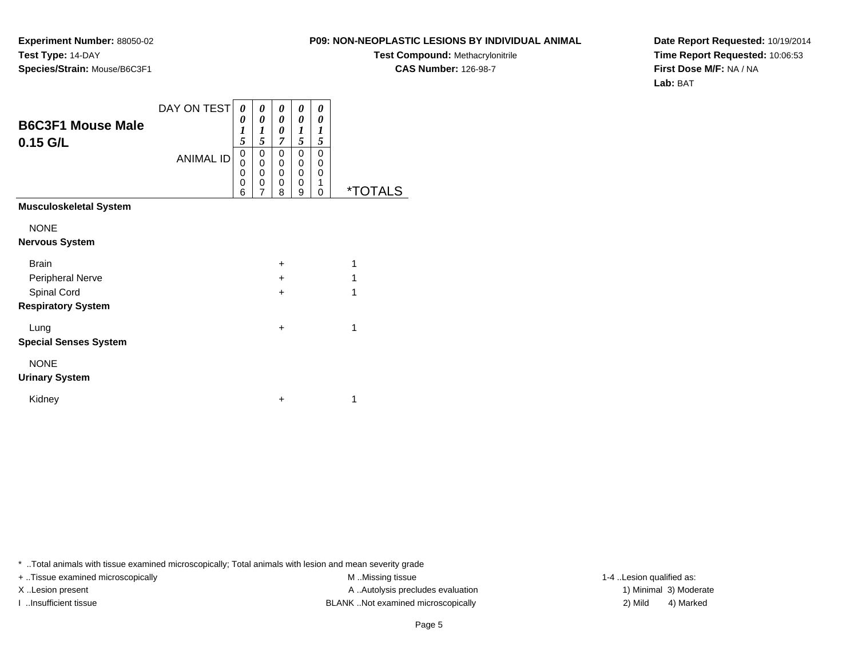**Experiment Number:** 88050-02**Test Type:** 14-DAY**Species/Strain:** Mouse/B6C3F1

**Test Compound:** Methacrylonitrile**CAS Number:** 126-98-7

**Date Report Requested:** 10/19/2014**Time Report Requested:** 10:06:53**First Dose M/F:** NA / NA**Lab:** BAT

| <b>B6C3F1 Mouse Male</b><br>$0.15$ G/L | DAY ON TEST<br><b>ANIMAL ID</b> | 0<br>0<br>1<br>5<br>0<br>$\Omega$<br>0<br>0<br>6 | 0<br>0<br>1<br>5<br>0<br>0<br>0<br>0<br>7 | 0<br>0<br>0<br>$\overline{7}$<br>0<br>0<br>0<br>0<br>8 | 0<br>0<br>1<br>5<br>0<br>$\mathbf{0}$<br>0<br>0<br>9 | 0<br>0<br>1<br>5<br>0<br>0<br>0<br>1<br>0 | <i><b>*TOTALS</b></i> |
|----------------------------------------|---------------------------------|--------------------------------------------------|-------------------------------------------|--------------------------------------------------------|------------------------------------------------------|-------------------------------------------|-----------------------|
| <b>Musculoskeletal System</b>          |                                 |                                                  |                                           |                                                        |                                                      |                                           |                       |
| <b>NONE</b>                            |                                 |                                                  |                                           |                                                        |                                                      |                                           |                       |
| <b>Nervous System</b>                  |                                 |                                                  |                                           |                                                        |                                                      |                                           |                       |
| <b>Brain</b>                           |                                 |                                                  |                                           | $\ddot{}$                                              |                                                      |                                           | 1                     |
| Peripheral Nerve                       |                                 |                                                  |                                           | $\ddot{}$                                              |                                                      |                                           | 1                     |
| Spinal Cord                            |                                 |                                                  |                                           | $\ddot{}$                                              |                                                      |                                           | 1                     |
| <b>Respiratory System</b>              |                                 |                                                  |                                           |                                                        |                                                      |                                           |                       |
| Lung                                   |                                 |                                                  |                                           | $\ddot{}$                                              |                                                      |                                           | 1                     |
| <b>Special Senses System</b>           |                                 |                                                  |                                           |                                                        |                                                      |                                           |                       |
| <b>NONE</b>                            |                                 |                                                  |                                           |                                                        |                                                      |                                           |                       |
| <b>Urinary System</b>                  |                                 |                                                  |                                           |                                                        |                                                      |                                           |                       |
| Kidney                                 |                                 |                                                  |                                           | $\ddot{}$                                              |                                                      |                                           | 1                     |

\* ..Total animals with tissue examined microscopically; Total animals with lesion and mean severity grade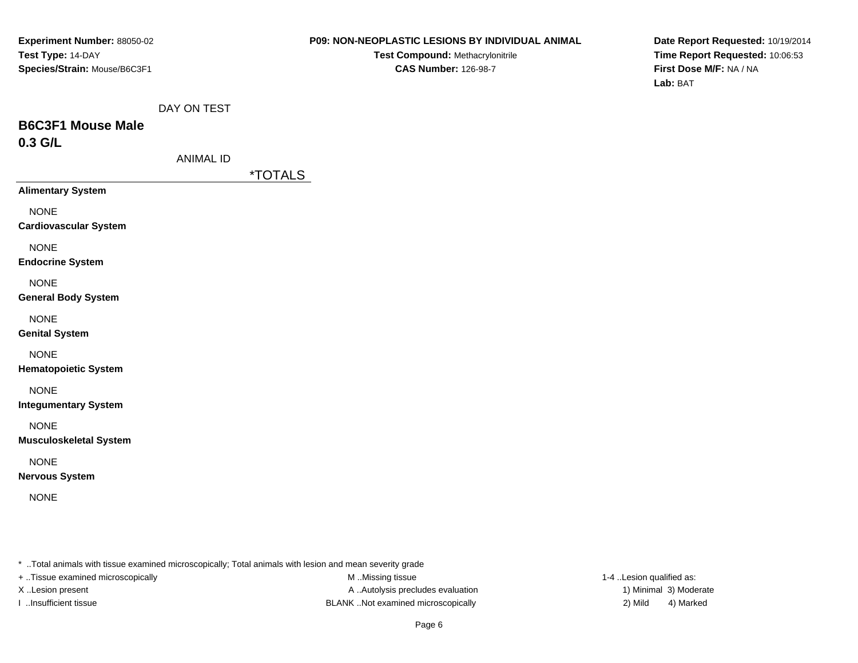**Test Compound:** Methacrylonitrile**CAS Number:** 126-98-7

**Date Report Requested:** 10/19/2014**Time Report Requested:** 10:06:53**First Dose M/F:** NA / NA**Lab:** BAT

|  | DAY ON TEST |
|--|-------------|
|  |             |

## **B6C3F1 Mouse Male0.3 G/L**

| ANIMAL ID |  |
|-----------|--|
|-----------|--|

\*TOTALS

**Alimentary System**

NONE

**Cardiovascular System**

NONE

**Endocrine System**

NONE

### **General Body System**

NONE

**Genital System**

NONE

**Hematopoietic System**

NONE

**Integumentary System**

NONE

**Musculoskeletal System**

NONE

**Nervous System**

NONE

\* ..Total animals with tissue examined microscopically; Total animals with lesion and mean severity grade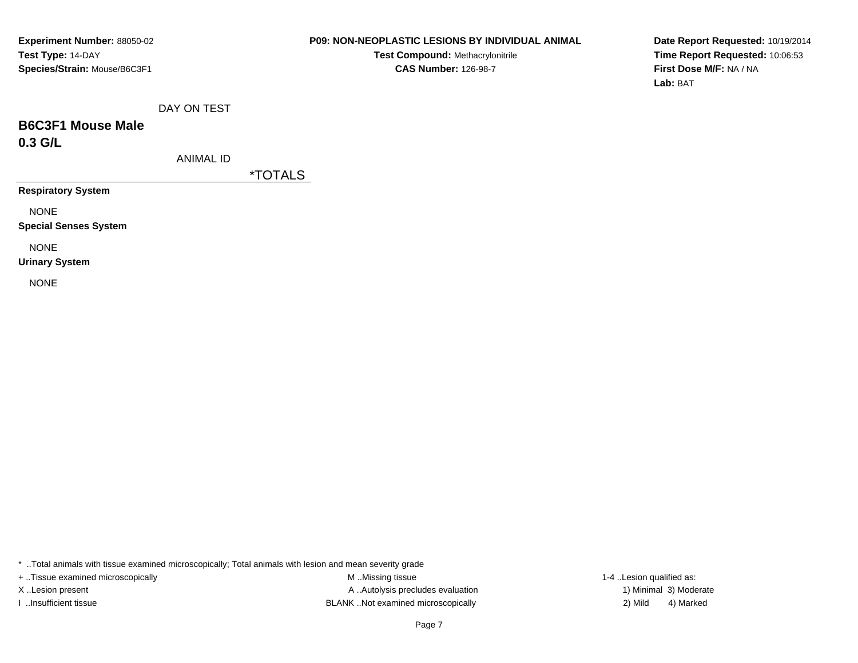### **P09: NON-NEOPLASTIC LESIONS BY INDIVIDUAL ANIMAL**

**Test Compound:** Methacrylonitrile**CAS Number:** 126-98-7

**Date Report Requested:** 10/19/2014**Time Report Requested:** 10:06:53**First Dose M/F:** NA / NA**Lab:** BAT

|  |  | DAY ON TEST |  |
|--|--|-------------|--|
|--|--|-------------|--|

## **B6C3F1 Mouse Male0.3 G/L**

ANIMAL ID

\*TOTALS

**Respiratory System**

NONE

**Special Senses System**

NONE

**Urinary System**

NONE

\* ..Total animals with tissue examined microscopically; Total animals with lesion and mean severity grade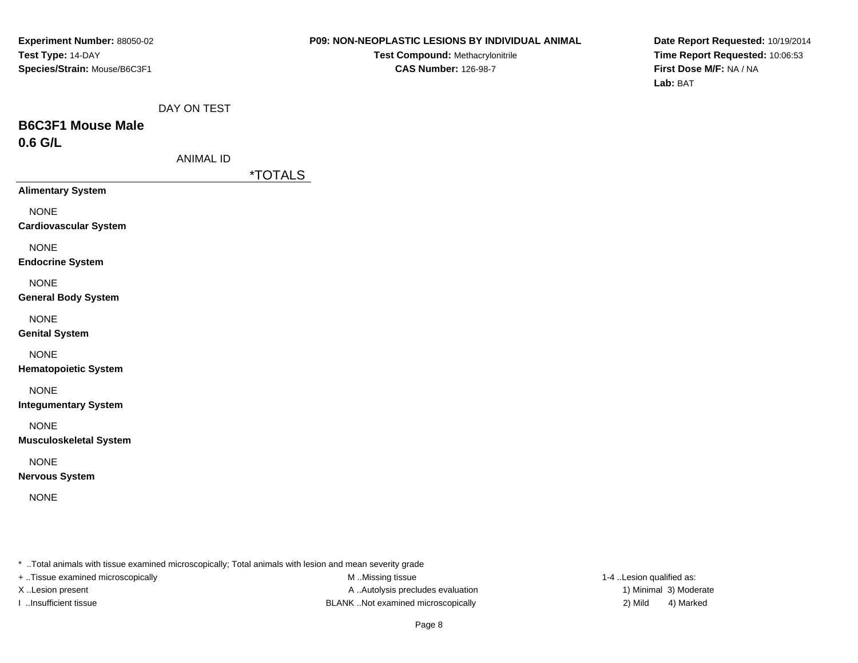**Test Compound:** Methacrylonitrile**CAS Number:** 126-98-7

**Date Report Requested:** 10/19/2014**Time Report Requested:** 10:06:53**First Dose M/F:** NA / NA**Lab:** BAT

|  | DAY ON TEST |
|--|-------------|
|  |             |

## **B6C3F1 Mouse Male0.6 G/L**

| ANIMAL ID |  |
|-----------|--|
|-----------|--|

\*TOTALS

**Alimentary System**

NONE

**Cardiovascular System**

NONE

**Endocrine System**

NONE

### **General Body System**

NONE

**Genital System**

### NONE

**Hematopoietic System**

NONE

**Integumentary System**

NONE

**Musculoskeletal System**

NONE

**Nervous System**

NONE

\* ..Total animals with tissue examined microscopically; Total animals with lesion and mean severity grade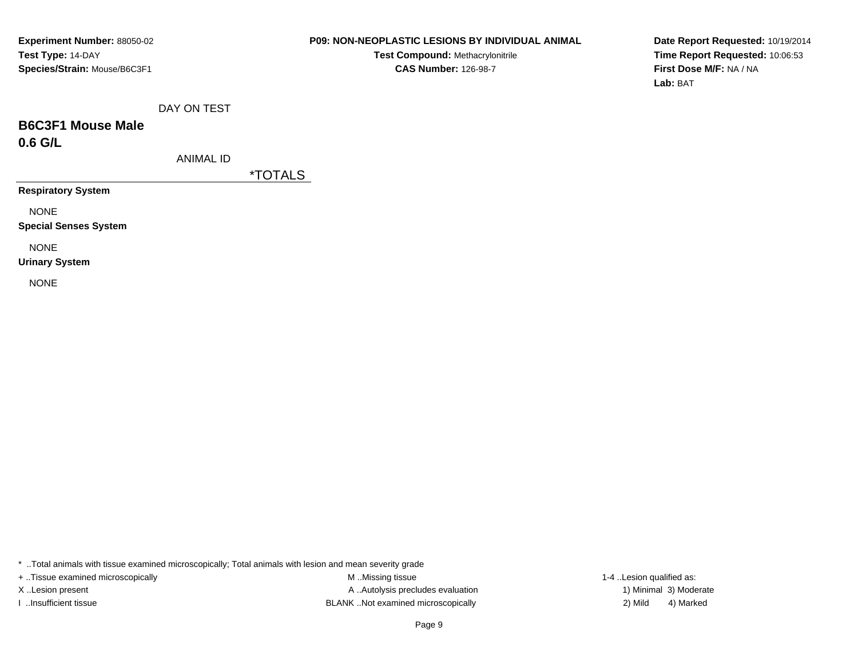### **P09: NON-NEOPLASTIC LESIONS BY INDIVIDUAL ANIMAL**

**Test Compound:** Methacrylonitrile**CAS Number:** 126-98-7

**Date Report Requested:** 10/19/2014**Time Report Requested:** 10:06:53**First Dose M/F:** NA / NA**Lab:** BAT

|  |  | DAY ON TEST |
|--|--|-------------|
|--|--|-------------|

### **B6C3F1 Mouse Male0.6 G/L**

ANIMAL ID

\*TOTALS

**Respiratory System**

NONE

**Special Senses System**

NONE

**Urinary System**

NONE

\* ..Total animals with tissue examined microscopically; Total animals with lesion and mean severity grade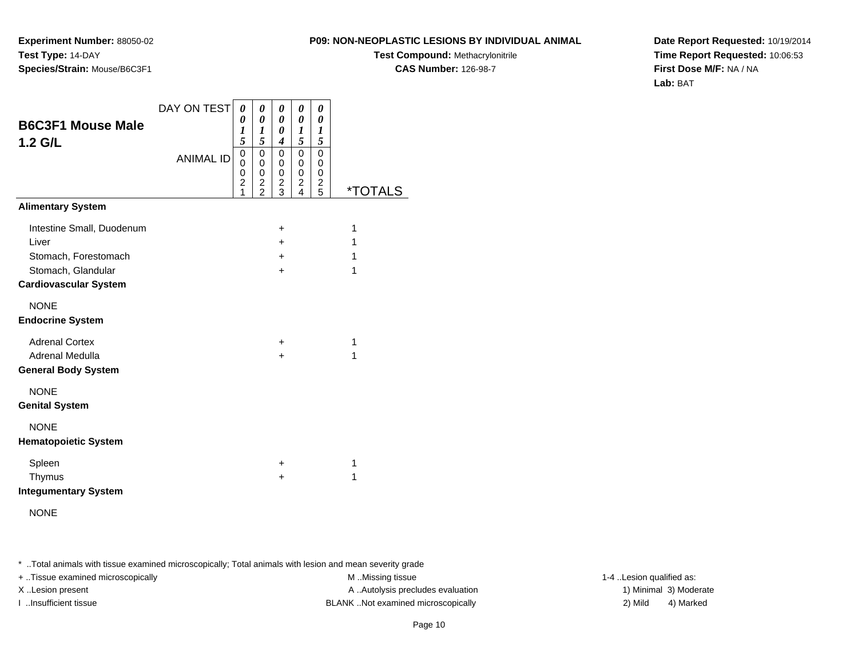**Experiment Number:** 88050-02**Test Type:** 14-DAY**Species/Strain:** Mouse/B6C3F1

**Test Compound:** Methacrylonitrile**CAS Number:** 126-98-7

**Date Report Requested:** 10/19/2014**Time Report Requested:** 10:06:53**First Dose M/F:** NA / NA**Lab:** BAT

| <b>B6C3F1 Mouse Male</b><br>$1.2$ G/L      | DAY ON TEST<br><b>ANIMAL ID</b> | 0<br>0<br>1<br>5<br>$\pmb{0}$<br>$\mathbf 0$<br>$\mathbf 0$<br>$\overline{c}$<br>1 | 0<br>0<br>1<br>5<br>$\mathbf 0$<br>0<br>0<br>$\overline{\mathbf{c}}$<br>$\overline{2}$ | 0<br>0<br>0<br>$\boldsymbol{4}$<br>$\mathbf 0$<br>0<br>0<br>$\overline{c}$<br>3 | 0<br>0<br>1<br>5<br>0<br>0<br>0<br>$\overline{c}$<br>4 | 0<br>0<br>1<br>5<br>$\mathbf 0$<br>0<br>0<br>$\overline{\mathbf{c}}$<br>5 | <i><b>*TOTALS</b></i> |
|--------------------------------------------|---------------------------------|------------------------------------------------------------------------------------|----------------------------------------------------------------------------------------|---------------------------------------------------------------------------------|--------------------------------------------------------|---------------------------------------------------------------------------|-----------------------|
| <b>Alimentary System</b>                   |                                 |                                                                                    |                                                                                        |                                                                                 |                                                        |                                                                           |                       |
| Intestine Small, Duodenum                  |                                 |                                                                                    |                                                                                        | +                                                                               |                                                        |                                                                           | 1                     |
| Liver                                      |                                 |                                                                                    |                                                                                        | $\pm$                                                                           |                                                        |                                                                           | 1                     |
| Stomach, Forestomach<br>Stomach, Glandular |                                 |                                                                                    |                                                                                        | $\ddot{}$<br>$\ddot{}$                                                          |                                                        |                                                                           | 1<br>1                |
| <b>Cardiovascular System</b>               |                                 |                                                                                    |                                                                                        |                                                                                 |                                                        |                                                                           |                       |
| <b>NONE</b><br><b>Endocrine System</b>     |                                 |                                                                                    |                                                                                        |                                                                                 |                                                        |                                                                           |                       |
| <b>Adrenal Cortex</b>                      |                                 |                                                                                    |                                                                                        | +                                                                               |                                                        |                                                                           | 1                     |
| Adrenal Medulla                            |                                 |                                                                                    |                                                                                        | $\div$                                                                          |                                                        |                                                                           | 1                     |
| <b>General Body System</b>                 |                                 |                                                                                    |                                                                                        |                                                                                 |                                                        |                                                                           |                       |
| <b>NONE</b>                                |                                 |                                                                                    |                                                                                        |                                                                                 |                                                        |                                                                           |                       |
| <b>Genital System</b>                      |                                 |                                                                                    |                                                                                        |                                                                                 |                                                        |                                                                           |                       |
| <b>NONE</b>                                |                                 |                                                                                    |                                                                                        |                                                                                 |                                                        |                                                                           |                       |
| <b>Hematopoietic System</b>                |                                 |                                                                                    |                                                                                        |                                                                                 |                                                        |                                                                           |                       |
| Spleen                                     |                                 |                                                                                    |                                                                                        | +                                                                               |                                                        |                                                                           | 1                     |
| Thymus                                     |                                 |                                                                                    |                                                                                        | $\ddot{}$                                                                       |                                                        |                                                                           | 1                     |
| <b>Integumentary System</b>                |                                 |                                                                                    |                                                                                        |                                                                                 |                                                        |                                                                           |                       |

NONE

\* ..Total animals with tissue examined microscopically; Total animals with lesion and mean severity grade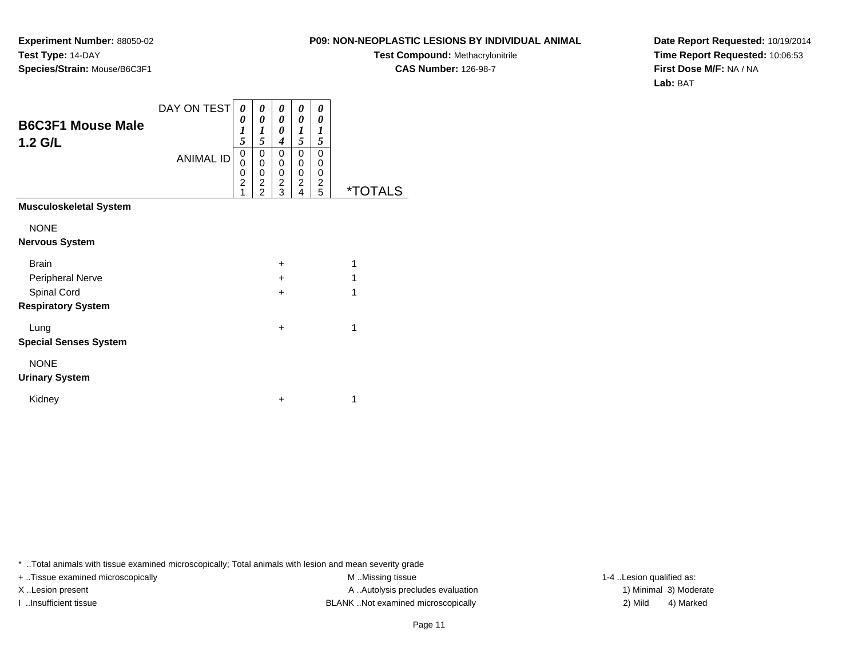**Experiment Number:** 88050-02**Test Type:** 14-DAY**Species/Strain:** Mouse/B6C3F1

**Test Compound:** Methacrylonitrile**CAS Number:** 126-98-7

**Date Report Requested:** 10/19/2014**Time Report Requested:** 10:06:53**First Dose M/F:** NA / NA**Lab:** BAT

| <b>B6C3F1 Mouse Male</b><br>$1.2$ G/L | DAY ON TEST<br><b>ANIMAL ID</b> | 0<br>0<br>$\boldsymbol{l}$<br>5<br>0<br>0<br>0<br>$\overline{c}$<br>1 | 0<br>0<br>1<br>5<br>0<br>0<br>0<br>$\frac{2}{2}$ | 0<br>0<br>0<br>$\boldsymbol{4}$<br>0<br>0<br>0<br>$\frac{2}{3}$ | 0<br>0<br>$\boldsymbol{l}$<br>5<br>0<br>$\mathbf 0$<br>0<br>$\frac{2}{4}$ | 0<br>0<br>1<br>5<br>0<br>0<br>0<br>$\overline{\mathbf{c}}$<br>$\overline{5}$ | <i><b>*TOTALS</b></i> |
|---------------------------------------|---------------------------------|-----------------------------------------------------------------------|--------------------------------------------------|-----------------------------------------------------------------|---------------------------------------------------------------------------|------------------------------------------------------------------------------|-----------------------|
| <b>Musculoskeletal System</b>         |                                 |                                                                       |                                                  |                                                                 |                                                                           |                                                                              |                       |
| <b>NONE</b>                           |                                 |                                                                       |                                                  |                                                                 |                                                                           |                                                                              |                       |
| <b>Nervous System</b>                 |                                 |                                                                       |                                                  |                                                                 |                                                                           |                                                                              |                       |
| <b>Brain</b>                          |                                 |                                                                       |                                                  | $\pm$                                                           |                                                                           |                                                                              | 1                     |
| Peripheral Nerve                      |                                 |                                                                       |                                                  | $\ddot{}$                                                       |                                                                           |                                                                              | 1                     |
| Spinal Cord                           |                                 |                                                                       |                                                  | $\ddot{}$                                                       |                                                                           |                                                                              | 1                     |
| <b>Respiratory System</b>             |                                 |                                                                       |                                                  |                                                                 |                                                                           |                                                                              |                       |
| Lung                                  |                                 |                                                                       |                                                  | $\ddot{}$                                                       |                                                                           |                                                                              | 1                     |
| <b>Special Senses System</b>          |                                 |                                                                       |                                                  |                                                                 |                                                                           |                                                                              |                       |
| <b>NONE</b>                           |                                 |                                                                       |                                                  |                                                                 |                                                                           |                                                                              |                       |
| <b>Urinary System</b>                 |                                 |                                                                       |                                                  |                                                                 |                                                                           |                                                                              |                       |
| Kidney                                |                                 |                                                                       |                                                  | $\ddot{}$                                                       |                                                                           |                                                                              | 1                     |

\* ..Total animals with tissue examined microscopically; Total animals with lesion and mean severity grade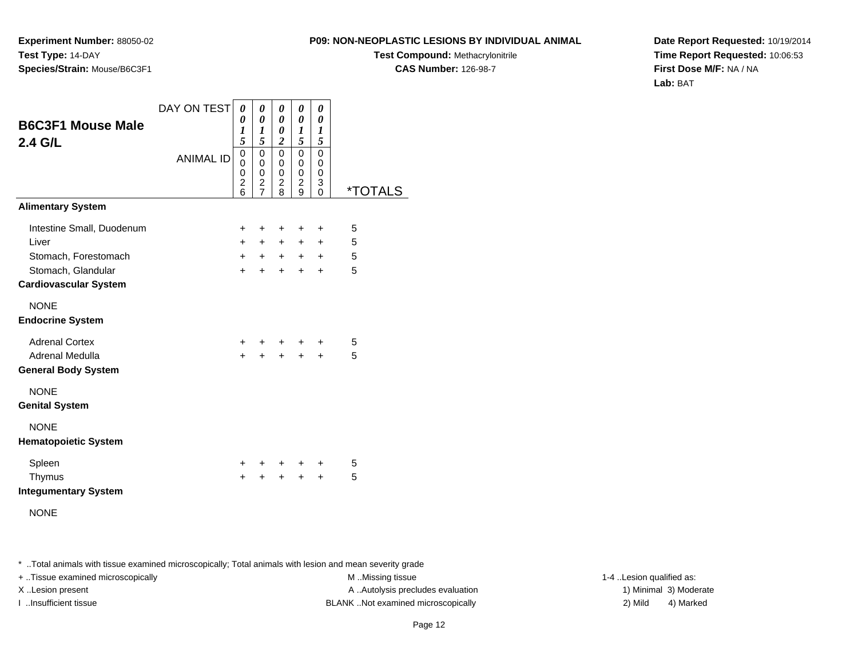**Experiment Number:** 88050-02**Test Type:** 14-DAY**Species/Strain:** Mouse/B6C3F1

**Test Compound:** Methacrylonitrile**CAS Number:** 126-98-7

**Date Report Requested:** 10/19/2014**Time Report Requested:** 10:06:53**First Dose M/F:** NA / NA**Lab:** BAT

| <b>B6C3F1 Mouse Male</b><br>2.4 G/L                | DAY ON TEST<br><b>ANIMAL ID</b> | 0<br>0<br>1<br>5<br>0<br>0<br>0<br>$\overline{\mathbf{c}}$<br>6 | 0<br>0<br>1<br>5<br>$\mathbf 0$<br>$\mathbf 0$<br>0<br>2<br>$\overline{7}$ | 0<br>0<br>0<br>$\overline{2}$<br>$\mathbf 0$<br>$\mathbf 0$<br>0<br>$\frac{2}{8}$ | 0<br>0<br>$\boldsymbol{l}$<br>5<br>$\mathbf 0$<br>$\mathbf 0$<br>0<br>$\overline{\mathbf{c}}$<br>9 | 0<br>0<br>$\boldsymbol{l}$<br>5<br>$\mathbf 0$<br>$\mathbf 0$<br>0<br>3<br>$\Omega$ | <i><b>*TOTALS</b></i> |
|----------------------------------------------------|---------------------------------|-----------------------------------------------------------------|----------------------------------------------------------------------------|-----------------------------------------------------------------------------------|----------------------------------------------------------------------------------------------------|-------------------------------------------------------------------------------------|-----------------------|
| <b>Alimentary System</b>                           |                                 |                                                                 |                                                                            |                                                                                   |                                                                                                    |                                                                                     |                       |
| Intestine Small, Duodenum                          |                                 | $\ddot{}$                                                       | ٠                                                                          | $\ddot{}$                                                                         | ÷                                                                                                  | $\ddot{}$                                                                           | 5                     |
| Liver                                              |                                 | $+$                                                             | $+$                                                                        | $+$                                                                               | $+$                                                                                                | $+$                                                                                 | 5                     |
| Stomach, Forestomach                               |                                 | $\ddot{}$                                                       | $+$                                                                        | $+$                                                                               |                                                                                                    | $+$ $+$                                                                             | 5                     |
| Stomach, Glandular<br><b>Cardiovascular System</b> |                                 | $\ddot{}$                                                       | $\ddot{}$                                                                  | $+$                                                                               | $+$                                                                                                | $\ddot{}$                                                                           | 5                     |
| <b>NONE</b><br><b>Endocrine System</b>             |                                 |                                                                 |                                                                            |                                                                                   |                                                                                                    |                                                                                     |                       |
| <b>Adrenal Cortex</b>                              |                                 | +                                                               |                                                                            | $\ddot{}$                                                                         | +                                                                                                  | $\pm$                                                                               | 5                     |
| Adrenal Medulla<br><b>General Body System</b>      |                                 | $\ddot{}$                                                       | $\ddot{}$                                                                  | $+$                                                                               | $\ddot{}$                                                                                          | $\ddot{}$                                                                           | 5                     |
| <b>NONE</b><br><b>Genital System</b>               |                                 |                                                                 |                                                                            |                                                                                   |                                                                                                    |                                                                                     |                       |
| <b>NONE</b><br><b>Hematopoietic System</b>         |                                 |                                                                 |                                                                            |                                                                                   |                                                                                                    |                                                                                     |                       |
| Spleen                                             |                                 | +                                                               |                                                                            | $\ddot{}$                                                                         | +                                                                                                  | $\pm$                                                                               | 5                     |
| Thymus<br><b>Integumentary System</b>              |                                 | $\ddot{}$                                                       |                                                                            | $\ddot{}$                                                                         | $\ddot{}$                                                                                          | $\ddot{}$                                                                           | 5                     |
| <b>NONE</b>                                        |                                 |                                                                 |                                                                            |                                                                                   |                                                                                                    |                                                                                     |                       |

\* ..Total animals with tissue examined microscopically; Total animals with lesion and mean severity grade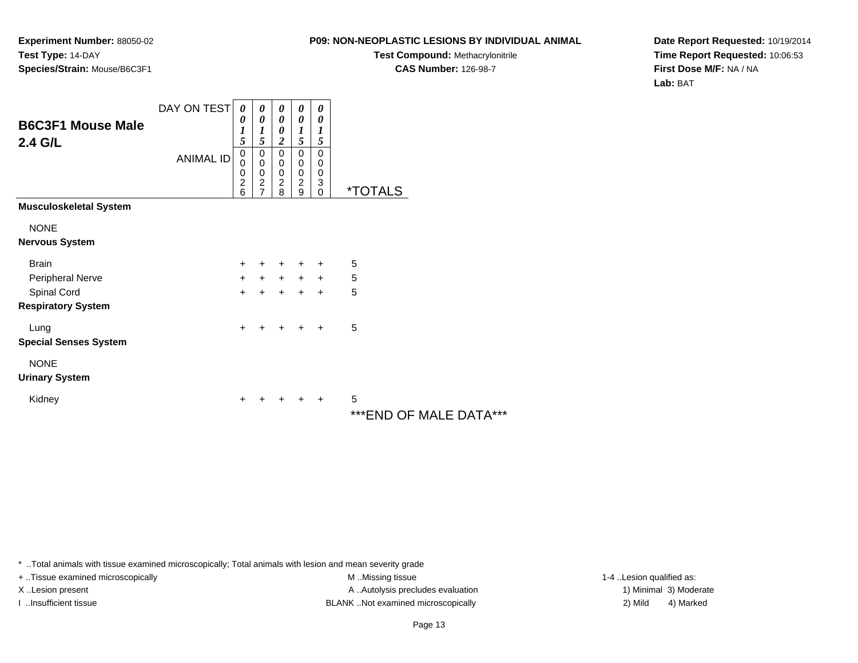### **P09: NON-NEOPLASTIC LESIONS BY INDIVIDUAL ANIMAL**

**Test Compound:** Methacrylonitrile**CAS Number:** 126-98-7

**Date Report Requested:** 10/19/2014**Time Report Requested:** 10:06:53**First Dose M/F:** NA / NA**Lab:** BAT

| <b>B6C3F1 Mouse Male</b><br>2.4 G/L | DAY ON TEST<br><b>ANIMAL ID</b> | $\boldsymbol{\theta}$<br>$\boldsymbol{\theta}$<br>$\boldsymbol{l}$<br>5<br>0<br>0<br>$\begin{array}{c} 0 \\ 2 \\ 6 \end{array}$ | 0<br>0<br>$\boldsymbol{l}$<br>5<br>0<br>00027 | 0<br>0<br>0<br>$\boldsymbol{2}$<br>0<br>$\pmb{0}$<br>$\pmb{0}$<br>$\overline{c}$<br>8 | 0<br>$\boldsymbol{\theta}$<br>$\boldsymbol{l}$<br>5<br>$\pmb{0}$<br>$\pmb{0}$<br>$\frac{0}{2}$<br>9 | 0<br>0<br>1<br>5<br>$\mathbf 0$<br>0<br>$\pmb{0}$<br>3<br>$\mathbf{0}$ | <i><b>*TOTALS</b></i> |
|-------------------------------------|---------------------------------|---------------------------------------------------------------------------------------------------------------------------------|-----------------------------------------------|---------------------------------------------------------------------------------------|-----------------------------------------------------------------------------------------------------|------------------------------------------------------------------------|-----------------------|
| <b>Musculoskeletal System</b>       |                                 |                                                                                                                                 |                                               |                                                                                       |                                                                                                     |                                                                        |                       |
| <b>NONE</b>                         |                                 |                                                                                                                                 |                                               |                                                                                       |                                                                                                     |                                                                        |                       |
| <b>Nervous System</b>               |                                 |                                                                                                                                 |                                               |                                                                                       |                                                                                                     |                                                                        |                       |
| <b>Brain</b>                        |                                 | $\ddot{}$                                                                                                                       |                                               |                                                                                       | +                                                                                                   | $\pm$                                                                  | 5                     |
| Peripheral Nerve                    |                                 | $\ddot{}$                                                                                                                       | $+$                                           | $+$                                                                                   | $\ddot{}$                                                                                           | $+$                                                                    | 5                     |
| Spinal Cord                         |                                 | $\ddot{}$                                                                                                                       | $\ddot{}$                                     | $+$                                                                                   | $\ddot{}$                                                                                           | $+$                                                                    | 5                     |
| <b>Respiratory System</b>           |                                 |                                                                                                                                 |                                               |                                                                                       |                                                                                                     |                                                                        |                       |
| Lung                                |                                 | $\ddot{}$                                                                                                                       |                                               |                                                                                       | +                                                                                                   | $\ddot{}$                                                              | 5                     |
| <b>Special Senses System</b>        |                                 |                                                                                                                                 |                                               |                                                                                       |                                                                                                     |                                                                        |                       |
| <b>NONE</b>                         |                                 |                                                                                                                                 |                                               |                                                                                       |                                                                                                     |                                                                        |                       |
| <b>Urinary System</b>               |                                 |                                                                                                                                 |                                               |                                                                                       |                                                                                                     |                                                                        |                       |
| Kidney                              |                                 | ٠                                                                                                                               |                                               |                                                                                       | ٠                                                                                                   | +                                                                      | 5                     |
|                                     |                                 |                                                                                                                                 |                                               |                                                                                       |                                                                                                     |                                                                        | ***CNIN OF MAI E      |

\*\*\*END OF MALE DATA\*\*\*

\* ..Total animals with tissue examined microscopically; Total animals with lesion and mean severity grade

+ ..Tissue examined microscopically M ...Missing tissue 1-4 ...

X..Lesion present **A ..Autolysis precludes evaluation** A ..Autolysis precludes evaluation 1) Minimal 3) Moderate I ..Insufficient tissue BLANK ..Not examined microscopically 2) Mild 4) Marked

1-4 ..Lesion qualified as: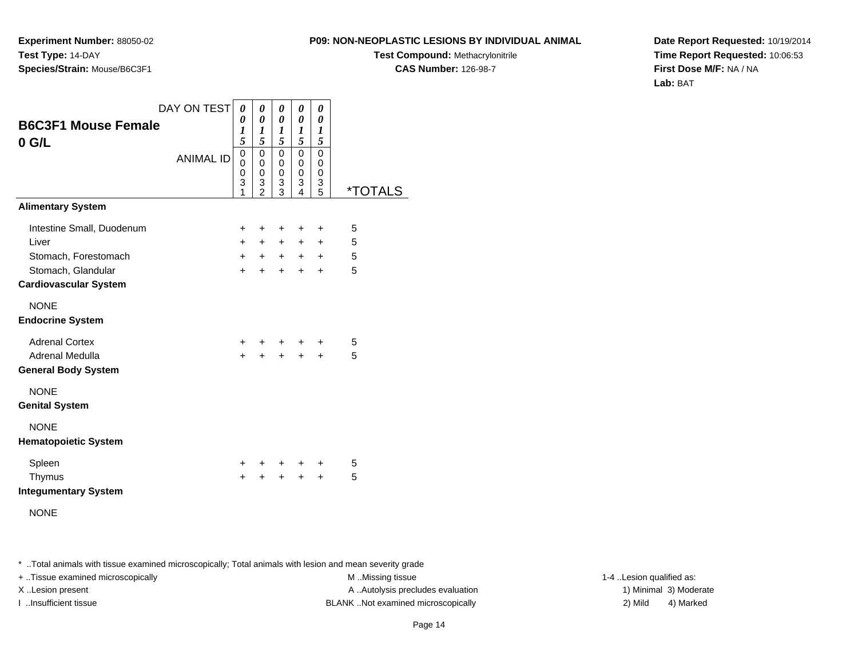**Experiment Number:** 88050-02**Test Type:** 14-DAY**Species/Strain:** Mouse/B6C3F1

**Test Compound:** Methacrylonitrile**CAS Number:** 126-98-7

**Date Report Requested:** 10/19/2014**Time Report Requested:** 10:06:53**First Dose M/F:** NA / NA**Lab:** BAT

| <b>B6C3F1 Mouse Female</b><br>$0$ G/L                                                                            | DAY ON TEST<br><b>ANIMAL ID</b> | 0<br>$\theta$<br>1<br>5<br>$\mathbf 0$<br>0<br>$\mathbf 0$<br>3<br>1 | 0<br>0<br>1<br>5<br>$\pmb{0}$<br>$\mathbf 0$<br>0<br>3<br>$\mathfrak{p}$ | 0<br>0<br>1<br>5 <sup>5</sup><br>0<br>0<br>0<br>3<br>3 | 0<br>$\boldsymbol{\theta}$<br>$\boldsymbol{l}$<br>5<br>$\mathbf 0$<br>0<br>$\mathbf 0$<br>3<br>$\overline{\mathbf{4}}$ | 0<br>0<br>1<br>5<br>$\mathbf 0$<br>0<br>$\mathbf 0$<br>3<br>5 | *TOTALS          |
|------------------------------------------------------------------------------------------------------------------|---------------------------------|----------------------------------------------------------------------|--------------------------------------------------------------------------|--------------------------------------------------------|------------------------------------------------------------------------------------------------------------------------|---------------------------------------------------------------|------------------|
| <b>Alimentary System</b>                                                                                         |                                 |                                                                      |                                                                          |                                                        |                                                                                                                        |                                                               |                  |
| Intestine Small, Duodenum<br>Liver<br>Stomach, Forestomach<br>Stomach, Glandular<br><b>Cardiovascular System</b> |                                 | +<br>$+$<br>$+$<br>$+$                                               | ÷<br>$+$<br>$+$<br>$\ddot{}$                                             | $\ddot{}$<br>$+$<br>$+$<br>$\ddot{}$                   | ÷<br>$+$ $-$<br>$+$ $-$<br>$+$                                                                                         | $\ddot{}$<br>$\pm$<br>$\pm$<br>$\ddot{}$                      | 5<br>5<br>5<br>5 |
| <b>NONE</b><br><b>Endocrine System</b>                                                                           |                                 |                                                                      |                                                                          |                                                        |                                                                                                                        |                                                               |                  |
| <b>Adrenal Cortex</b><br>Adrenal Medulla<br><b>General Body System</b>                                           |                                 | $+$<br>$\ddot{}$                                                     | $\ddot{}$                                                                | $+$                                                    | $+$ $+$ $+$<br>$+$                                                                                                     | $\ddot{}$<br>$+$                                              | 5<br>5           |
| <b>NONE</b><br><b>Genital System</b>                                                                             |                                 |                                                                      |                                                                          |                                                        |                                                                                                                        |                                                               |                  |
| <b>NONE</b><br><b>Hematopoietic System</b>                                                                       |                                 |                                                                      |                                                                          |                                                        |                                                                                                                        |                                                               |                  |
| Spleen<br>Thymus<br><b>Integumentary System</b>                                                                  |                                 | $+$<br>$\ddot{}$                                                     | $\pm$                                                                    | $\pm$<br>$\ddot{}$                                     | +<br>$+$                                                                                                               | $\ddot{}$<br>$+$                                              | 5<br>5           |

NONE

\* ..Total animals with tissue examined microscopically; Total animals with lesion and mean severity grade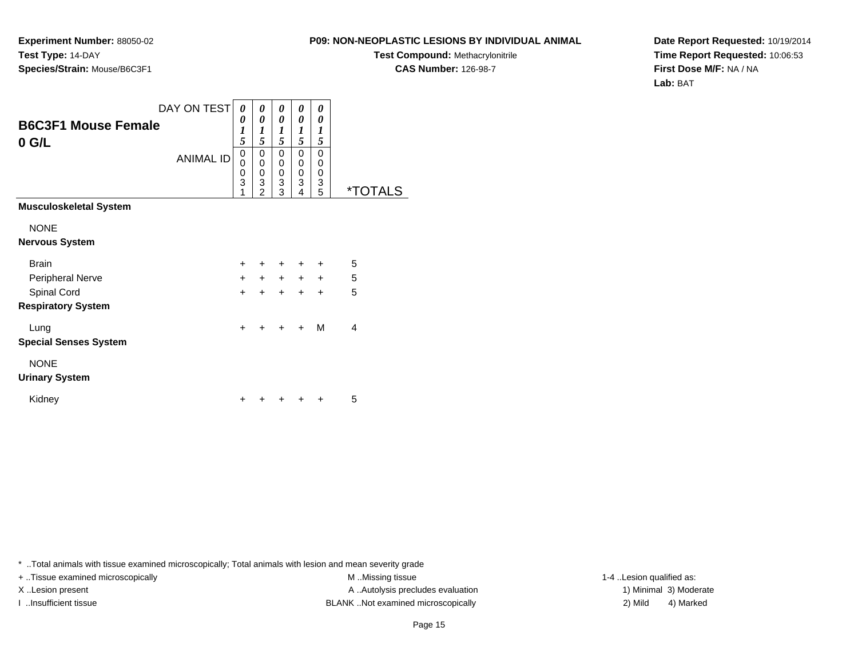**Experiment Number:** 88050-02**Test Type:** 14-DAY**Species/Strain:** Mouse/B6C3F1

**Test Compound:** Methacrylonitrile**CAS Number:** 126-98-7

**Date Report Requested:** 10/19/2014**Time Report Requested:** 10:06:53**First Dose M/F:** NA / NA**Lab:** BAT

| <b>B6C3F1 Mouse Female</b><br>$0$ G/L | DAY ON TEST<br><b>ANIMAL ID</b> | 0<br>0<br>1<br>5<br>0<br>$\overline{0}$<br>0<br>3 | 0<br>0<br>1<br>5<br>0<br>0<br>0<br>3 | 0<br>0<br>$\boldsymbol{l}$<br>5<br>0<br>0<br>0<br>3 | 0<br>0<br>1<br>5<br>0<br>$\mathbf{0}$<br>0<br>3 | 0<br>0<br>1<br>5<br>0<br>0<br>0<br>3 |                       |
|---------------------------------------|---------------------------------|---------------------------------------------------|--------------------------------------|-----------------------------------------------------|-------------------------------------------------|--------------------------------------|-----------------------|
|                                       |                                 | 1                                                 | $\mathfrak{p}$                       | 3                                                   | 4                                               | 5                                    | <i><b>*TOTALS</b></i> |
| <b>Musculoskeletal System</b>         |                                 |                                                   |                                      |                                                     |                                                 |                                      |                       |
| <b>NONE</b>                           |                                 |                                                   |                                      |                                                     |                                                 |                                      |                       |
| <b>Nervous System</b>                 |                                 |                                                   |                                      |                                                     |                                                 |                                      |                       |
| <b>Brain</b>                          |                                 | $+$                                               | $\ddot{}$                            | $\ddot{}$                                           | $\ddot{}$                                       | $\ddot{}$                            | 5                     |
| Peripheral Nerve                      |                                 | $+$                                               | $+$                                  | $+$                                                 | $+$                                             | $+$                                  | 5                     |
| Spinal Cord                           |                                 | $\ddot{}$                                         | $\ddot{}$                            | $\ddot{}$                                           | $\ddot{}$                                       | $\ddot{}$                            | 5                     |
| <b>Respiratory System</b>             |                                 |                                                   |                                      |                                                     |                                                 |                                      |                       |
| Lung                                  |                                 | $\ddot{}$                                         |                                      | $\ddot{}$                                           | $\ddot{}$                                       | M                                    | 4                     |
| <b>Special Senses System</b>          |                                 |                                                   |                                      |                                                     |                                                 |                                      |                       |
| <b>NONE</b><br><b>Urinary System</b>  |                                 |                                                   |                                      |                                                     |                                                 |                                      |                       |
| Kidney                                |                                 |                                                   |                                      |                                                     |                                                 |                                      | 5                     |

\* ..Total animals with tissue examined microscopically; Total animals with lesion and mean severity grade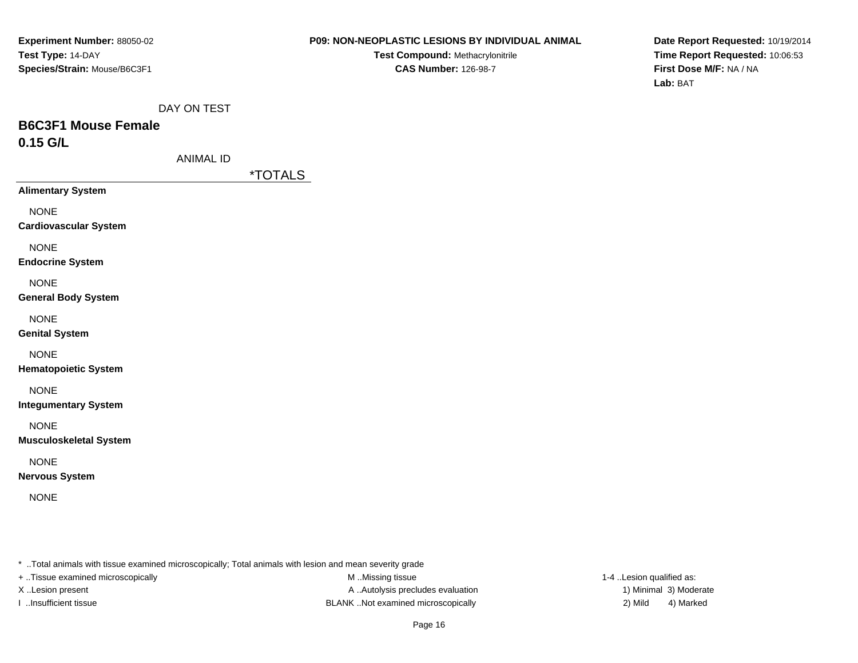**Test Compound:** Methacrylonitrile**CAS Number:** 126-98-7

**Date Report Requested:** 10/19/2014**Time Report Requested:** 10:06:53**First Dose M/F:** NA / NA**Lab:** BAT

# **B6C3F1 Mouse Female0.15 G/L**

ANIMAL ID

\*TOTALS

**Alimentary System**

NONE

**Cardiovascular System**

NONE

**Endocrine System**

**NONE** 

**General Body System**

NONE

**Genital System**

NONE

**Hematopoietic System**

NONE

**Integumentary System**

NONE

**Musculoskeletal System**

NONE

**Nervous System**

NONE

\* ..Total animals with tissue examined microscopically; Total animals with lesion and mean severity grade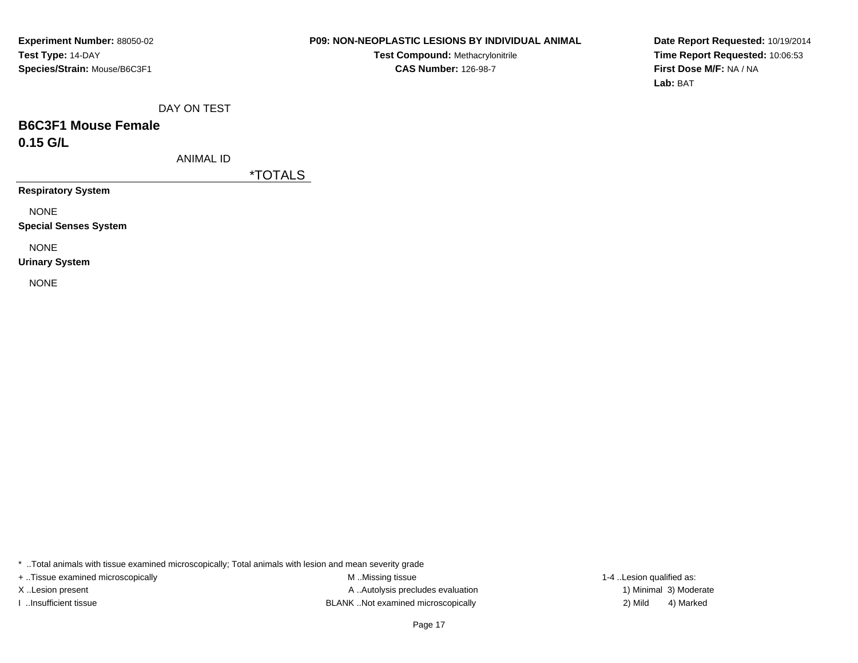**Test Compound:** Methacrylonitrile**CAS Number:** 126-98-7

**Date Report Requested:** 10/19/2014**Time Report Requested:** 10:06:53**First Dose M/F:** NA / NA**Lab:** BAT

DAY ON TEST

# **B6C3F1 Mouse Female0.15 G/L**

ANIMAL ID

\*TOTALS

**Respiratory System**

NONE

**Special Senses System**

NONE

**Urinary System**

NONE

\* ..Total animals with tissue examined microscopically; Total animals with lesion and mean severity grade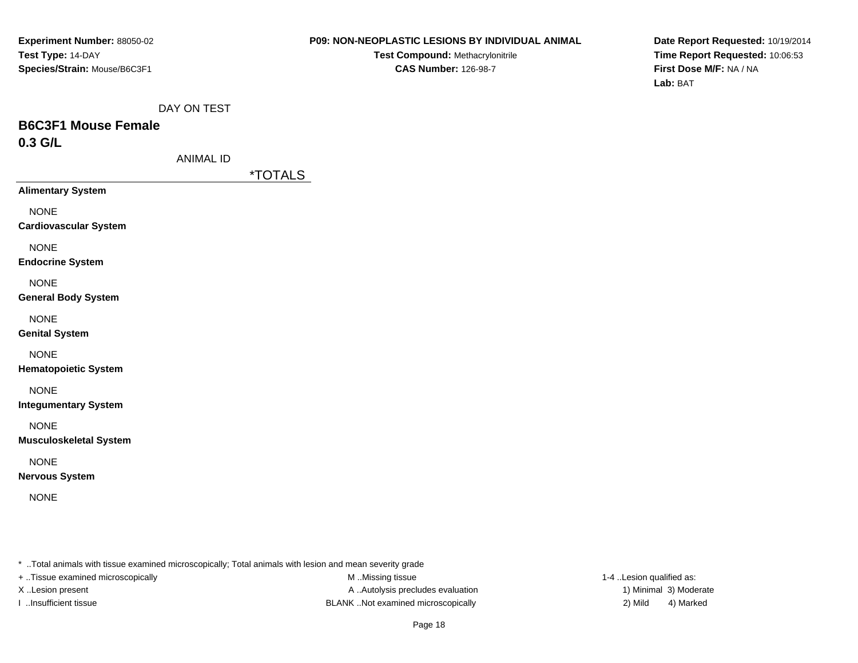**Test Compound:** Methacrylonitrile**CAS Number:** 126-98-7

**Date Report Requested:** 10/19/2014**Time Report Requested:** 10:06:53**First Dose M/F:** NA / NA**Lab:** BAT

DAY ON TEST

# **B6C3F1 Mouse Female0.3 G/L**

\*TOTALS

**Alimentary System**

NONE

**Cardiovascular System**

NONE

**Endocrine System**

**NONE** 

### **General Body System**

NONE

**Genital System**

NONE

**Hematopoietic System**

NONE

**Integumentary System**

NONE

**Musculoskeletal System**

NONE

**Nervous System**

NONE

\* ..Total animals with tissue examined microscopically; Total animals with lesion and mean severity grade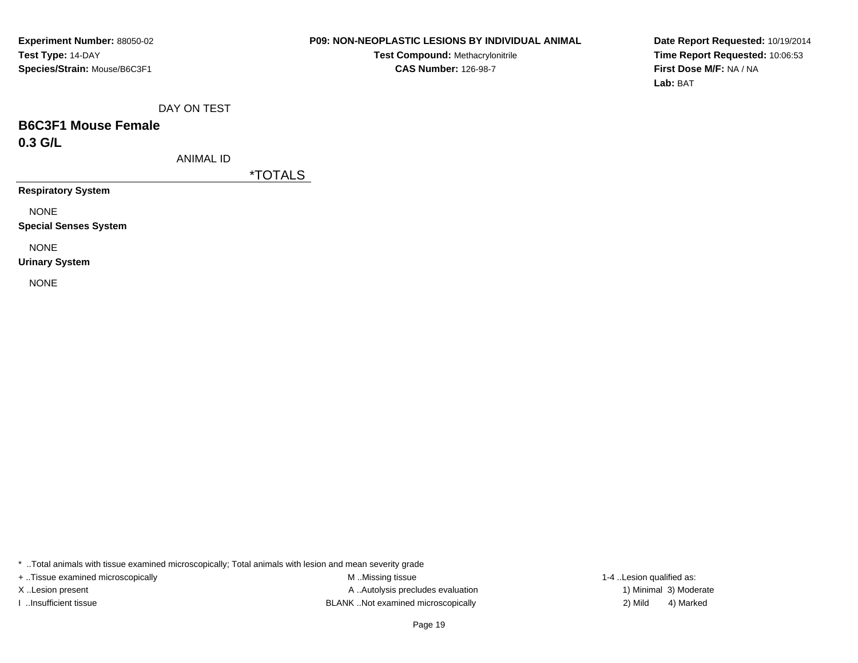### **P09: NON-NEOPLASTIC LESIONS BY INDIVIDUAL ANIMAL**

**Test Compound:** Methacrylonitrile**CAS Number:** 126-98-7

**Date Report Requested:** 10/19/2014**Time Report Requested:** 10:06:53**First Dose M/F:** NA / NA**Lab:** BAT

DAY ON TEST

# **B6C3F1 Mouse Female0.3 G/L**

ANIMAL ID

\*TOTALS

**Respiratory System**

NONE

**Special Senses System**

NONE

**Urinary System**

NONE

\* ..Total animals with tissue examined microscopically; Total animals with lesion and mean severity grade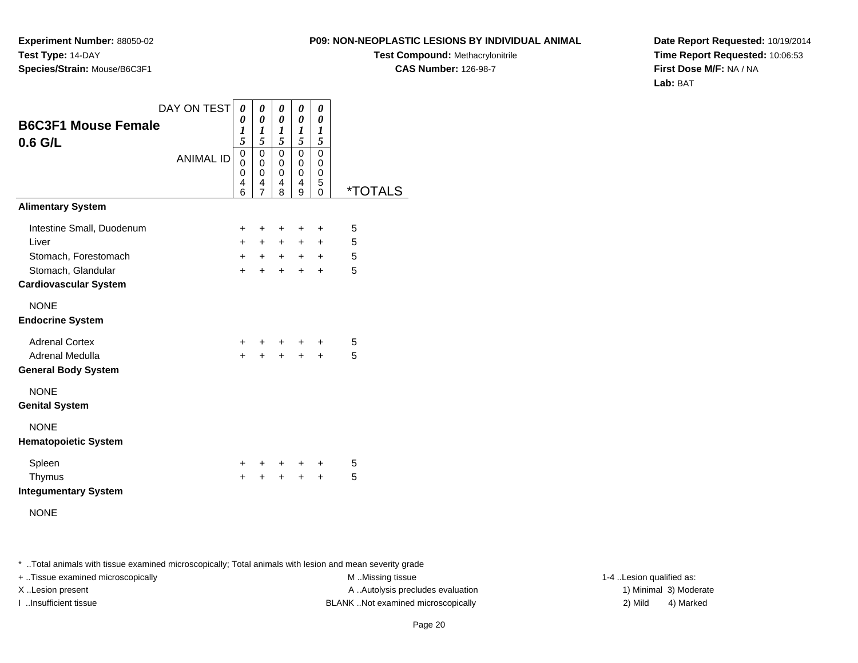**Experiment Number:** 88050-02**Test Type:** 14-DAY**Species/Strain:** Mouse/B6C3F1

**Test Compound:** Methacrylonitrile

**CAS Number:** 126-98-7

**Date Report Requested:** 10/19/2014**Time Report Requested:** 10:06:53**First Dose M/F:** NA / NA**Lab:** BAT

| <b>B6C3F1 Mouse Female</b>                         | DAY ON TEST      | $\boldsymbol{\theta}$<br>0<br>$\boldsymbol{l}$            | 0<br>$\boldsymbol{\theta}$<br>1 | 0<br>0<br>1                          | 0<br>$\boldsymbol{\theta}$<br>$\boldsymbol{l}$           | 0<br>0<br>1                                                  |                       |
|----------------------------------------------------|------------------|-----------------------------------------------------------|---------------------------------|--------------------------------------|----------------------------------------------------------|--------------------------------------------------------------|-----------------------|
| $0.6$ G/L                                          | <b>ANIMAL ID</b> | 5<br>$\mathbf 0$<br>$\mathbf{0}$<br>$\mathbf 0$<br>4<br>6 | 5<br>0<br>0<br>0<br>4<br>7      | 5<br>$\mathbf 0$<br>0<br>0<br>4<br>8 | 5<br>$\mathbf 0$<br>$\mathbf 0$<br>$\mathbf 0$<br>4<br>9 | 5<br>$\Omega$<br>$\mathbf 0$<br>$\mathbf 0$<br>5<br>$\Omega$ | <i><b>*TOTALS</b></i> |
| <b>Alimentary System</b>                           |                  |                                                           |                                 |                                      |                                                          |                                                              |                       |
| Intestine Small, Duodenum                          |                  | $\ddot{}$                                                 | ÷                               | ÷                                    | $\ddot{}$                                                | $\ddot{}$                                                    | 5                     |
| Liver                                              |                  | $+$                                                       | $+$                             | $+$                                  | $+$                                                      | $+$                                                          | 5                     |
| Stomach, Forestomach                               |                  | $+$                                                       | $+$                             | $+$                                  | $+$                                                      | $\ddot{}$                                                    | 5                     |
| Stomach, Glandular<br><b>Cardiovascular System</b> |                  | $+$                                                       | $+$                             | $+$                                  | $+$                                                      | $\ddot{}$                                                    | 5                     |
| <b>NONE</b><br><b>Endocrine System</b>             |                  |                                                           |                                 |                                      |                                                          |                                                              |                       |
| <b>Adrenal Cortex</b>                              |                  | $+$                                                       |                                 |                                      | $+$ $+$ $+$                                              | $\ddot{}$                                                    | 5                     |
| Adrenal Medulla                                    |                  | $\ddot{}$                                                 | $\ddot{+}$                      | $+$                                  | $\ddot{+}$                                               | $\ddot{}$                                                    | 5                     |
| <b>General Body System</b>                         |                  |                                                           |                                 |                                      |                                                          |                                                              |                       |
| <b>NONE</b><br><b>Genital System</b>               |                  |                                                           |                                 |                                      |                                                          |                                                              |                       |
| <b>NONE</b><br><b>Hematopoietic System</b>         |                  |                                                           |                                 |                                      |                                                          |                                                              |                       |
| Spleen                                             |                  | $\ddot{}$                                                 | $+$ $-$                         | $+$                                  | +                                                        | $\pm$                                                        | 5                     |
| Thymus                                             |                  | $\ddot{}$                                                 |                                 | $\ddot{+}$                           | $+$                                                      | $\ddot{}$                                                    | 5                     |
| <b>Integumentary System</b>                        |                  |                                                           |                                 |                                      |                                                          |                                                              |                       |
|                                                    |                  |                                                           |                                 |                                      |                                                          |                                                              |                       |

NONE

\* ..Total animals with tissue examined microscopically; Total animals with lesion and mean severity grade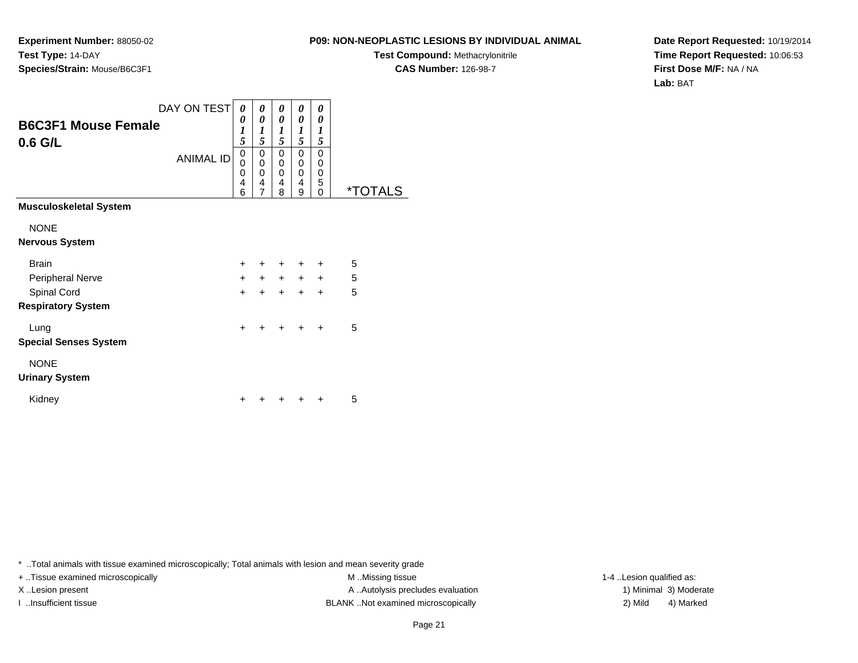**Experiment Number:** 88050-02**Test Type:** 14-DAY**Species/Strain:** Mouse/B6C3F1

**Test Compound:** Methacrylonitrile**CAS Number:** 126-98-7

**Date Report Requested:** 10/19/2014**Time Report Requested:** 10:06:53**First Dose M/F:** NA / NA**Lab:** BAT

| <b>B6C3F1 Mouse Female</b><br>$0.6$ G/L | DAY ON TEST<br><b>ANIMAL ID</b> | 0<br>0<br>1<br>5<br>0<br>$\Omega$ | 0<br>0<br>1<br>5<br>0<br>0 | 0<br>0<br>$\boldsymbol{l}$<br>5<br>0<br>0 | 0<br>$\theta$<br>1<br>5<br>0<br>$\mathbf 0$ | 0<br>0<br>1<br>5<br>$\Omega$<br>0 |                       |
|-----------------------------------------|---------------------------------|-----------------------------------|----------------------------|-------------------------------------------|---------------------------------------------|-----------------------------------|-----------------------|
|                                         |                                 | 0<br>$\overline{4}$<br>6          | 0<br>4<br>$\overline{7}$   | 0<br>4<br>8                               | $\mathbf 0$<br>4<br>9                       | 0<br>5<br>$\mathbf{0}$            | <i><b>*TOTALS</b></i> |
| <b>Musculoskeletal System</b>           |                                 |                                   |                            |                                           |                                             |                                   |                       |
| <b>NONE</b>                             |                                 |                                   |                            |                                           |                                             |                                   |                       |
| <b>Nervous System</b>                   |                                 |                                   |                            |                                           |                                             |                                   |                       |
| <b>Brain</b>                            |                                 | $+$                               | ÷                          | $\ddot{}$                                 | $\ddot{}$                                   | $\div$                            | 5                     |
| Peripheral Nerve                        |                                 | $+$                               | $+$                        | $+$                                       | $+$                                         | $+$                               | 5                     |
| Spinal Cord                             |                                 | $\ddot{}$                         | $\ddot{}$                  | $\ddot{}$                                 | $\ddot{}$                                   | $\ddot{}$                         | 5                     |
| <b>Respiratory System</b>               |                                 |                                   |                            |                                           |                                             |                                   |                       |
| Lung                                    |                                 | $\ddot{}$                         | $\ddot{}$                  | $\ddot{}$                                 | $+$                                         | $\ddot{}$                         | 5                     |
| <b>Special Senses System</b>            |                                 |                                   |                            |                                           |                                             |                                   |                       |
| <b>NONE</b>                             |                                 |                                   |                            |                                           |                                             |                                   |                       |
| <b>Urinary System</b>                   |                                 |                                   |                            |                                           |                                             |                                   |                       |
| Kidney                                  |                                 |                                   |                            |                                           |                                             |                                   | 5                     |

\* ..Total animals with tissue examined microscopically; Total animals with lesion and mean severity grade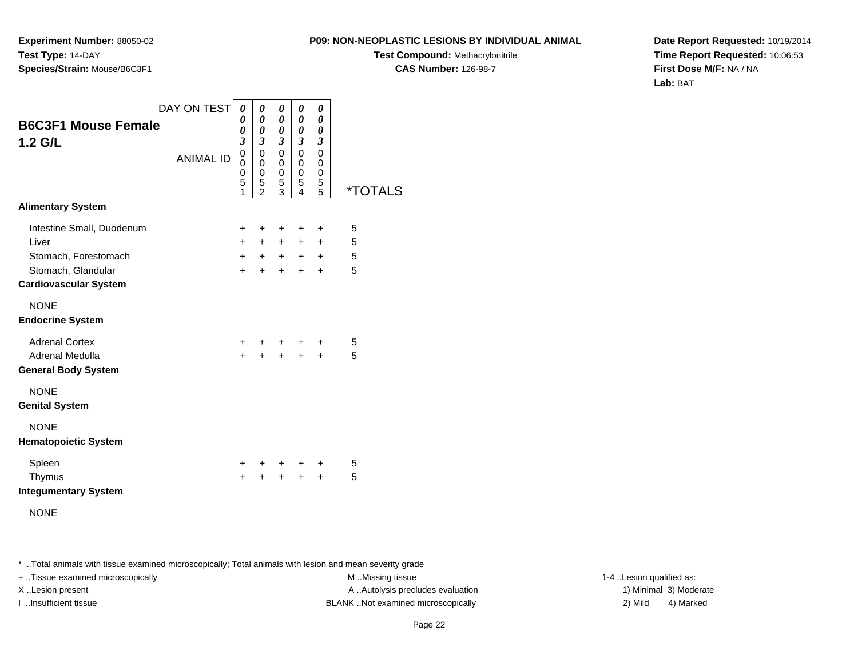**Experiment Number:** 88050-02**Test Type:** 14-DAY**Species/Strain:** Mouse/B6C3F1

**Test Compound:** Methacrylonitrile

**CAS Number:** 126-98-7

**Date Report Requested:** 10/19/2014**Time Report Requested:** 10:06:53**First Dose M/F:** NA / NA**Lab:** BAT

| <b>B6C3F1 Mouse Female</b><br>$1.2$ G/L                                                                          | DAY ON TEST      | 0<br>0<br>0<br>$\mathfrak{z}$              | 0<br>0<br>0<br>$\overline{\mathbf{3}}$ | 0<br>0<br>0<br>3                | 0<br>0<br>$\boldsymbol{\theta}$<br>$\boldsymbol{\mathfrak{z}}$ | 0<br>0<br>0<br>3                           |                       |
|------------------------------------------------------------------------------------------------------------------|------------------|--------------------------------------------|----------------------------------------|---------------------------------|----------------------------------------------------------------|--------------------------------------------|-----------------------|
|                                                                                                                  | <b>ANIMAL ID</b> | $\mathbf 0$<br>$\mathbf{0}$<br>0<br>5<br>1 | 0<br>0<br>0<br>5<br>$\mathfrak{p}$     | $\mathbf 0$<br>0<br>0<br>5<br>3 | $\mathbf 0$<br>0<br>$\mathbf 0$<br>5<br>4                      | $\Omega$<br>0<br>0<br>5<br>5               | <i><b>*TOTALS</b></i> |
| <b>Alimentary System</b>                                                                                         |                  |                                            |                                        |                                 |                                                                |                                            |                       |
| Intestine Small, Duodenum<br>Liver<br>Stomach, Forestomach<br>Stomach, Glandular<br><b>Cardiovascular System</b> |                  | $\ddot{}$<br>$+$<br>$+$<br>$+$             | $\ddot{}$<br>$+$<br>$+$<br>$\ddot{}$   | $\ddot{}$<br>$+$<br>$+$<br>$+$  | $\ddot{}$<br>$+$<br>$+$<br>$\ddot{}$                           | $\ddot{}$<br>$+$<br>$\ddot{}$<br>$\ddot{}$ | 5<br>5<br>5<br>5      |
| <b>NONE</b><br><b>Endocrine System</b>                                                                           |                  |                                            |                                        |                                 |                                                                |                                            |                       |
| <b>Adrenal Cortex</b><br>Adrenal Medulla<br><b>General Body System</b>                                           |                  | $+$<br>$\ddot{}$                           |                                        | $\ddot{\phantom{1}}$            | $+$ $+$ $+$<br>$\ddot{+}$                                      | $\ddot{}$<br>$\ddot{}$                     | 5<br>5                |
| <b>NONE</b><br><b>Genital System</b>                                                                             |                  |                                            |                                        |                                 |                                                                |                                            |                       |
| <b>NONE</b><br><b>Hematopoietic System</b>                                                                       |                  |                                            |                                        |                                 |                                                                |                                            |                       |
| Spleen<br>Thymus<br><b>Integumentary System</b>                                                                  |                  | $\ddot{}$<br>$\ddot{}$                     | $\pm$                                  | $+$ $-$<br>$\ddot{+}$           | $\ddot{}$<br>$+$                                               | ÷<br>$+$                                   | 5<br>5                |

NONE

\* ..Total animals with tissue examined microscopically; Total animals with lesion and mean severity grade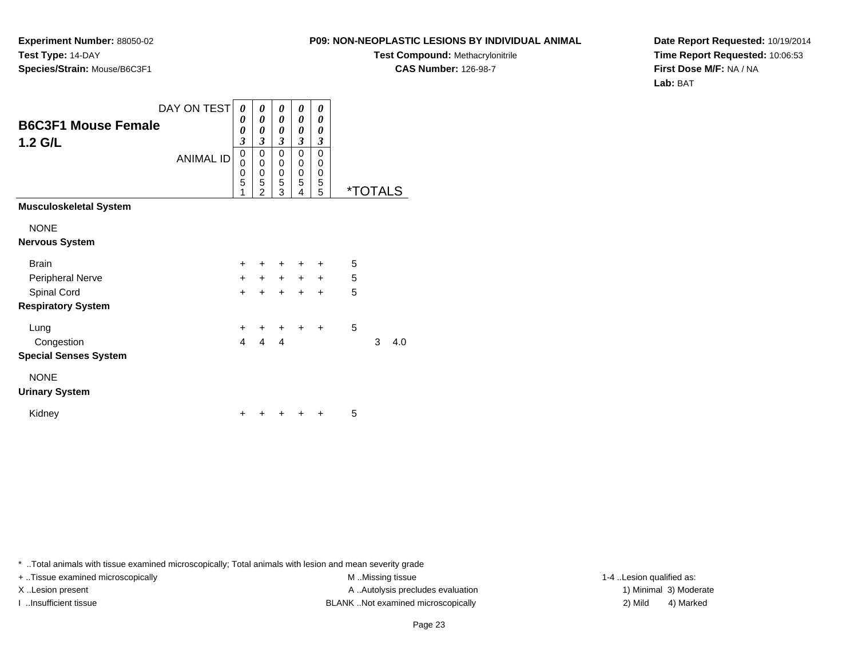**Experiment Number:** 88050-02**Test Type:** 14-DAY**Species/Strain:** Mouse/B6C3F1

**Test Compound:** Methacrylonitrile**CAS Number:** 126-98-7

**Date Report Requested:** 10/19/2014**Time Report Requested:** 10:06:53**First Dose M/F:** NA / NA**Lab:** BAT

|                                       | DAY ON TEST      | 0                | 0                        | 0                             | 0                                 | 0                                 |   |                       |     |
|---------------------------------------|------------------|------------------|--------------------------|-------------------------------|-----------------------------------|-----------------------------------|---|-----------------------|-----|
| <b>B6C3F1 Mouse Female</b><br>1.2 G/L |                  | 0<br>0<br>3      | 0<br>0<br>$\mathfrak{z}$ | 0<br>0<br>$\mathfrak{z}$      | 0<br>0<br>$\overline{\mathbf{3}}$ | 0<br>0<br>3                       |   |                       |     |
|                                       | <b>ANIMAL ID</b> | 0<br>0<br>0<br>5 | 0<br>0<br>0<br>5         | $\overline{0}$<br>0<br>0<br>5 | 0<br>0<br>0<br>5                  | $\Omega$<br>$\mathbf 0$<br>0<br>5 |   |                       |     |
| <b>Musculoskeletal System</b>         |                  | 1                | $\overline{2}$           | 3                             | 4                                 | 5                                 |   | <i><b>*TOTALS</b></i> |     |
|                                       |                  |                  |                          |                               |                                   |                                   |   |                       |     |
| <b>NONE</b>                           |                  |                  |                          |                               |                                   |                                   |   |                       |     |
| <b>Nervous System</b>                 |                  |                  |                          |                               |                                   |                                   |   |                       |     |
| <b>Brain</b>                          |                  | $\ddot{}$        | $\ddot{}$                | $\ddot{}$                     | ٠                                 | $\ddot{}$                         | 5 |                       |     |
| Peripheral Nerve                      |                  | $+$              | $+$                      | $+$                           | $+$                               | $+$                               | 5 |                       |     |
| Spinal Cord                           |                  | $\ddot{}$        | $+$                      | $+$                           | $\ddot{}$                         | $+$                               | 5 |                       |     |
| <b>Respiratory System</b>             |                  |                  |                          |                               |                                   |                                   |   |                       |     |
| Lung                                  |                  | $\ddot{}$        | $\ddot{}$                | $\ddot{}$                     | $\ddot{}$                         | $\ddot{}$                         | 5 |                       |     |
| Congestion                            |                  | $\overline{4}$   | $\overline{4}$           | 4                             |                                   |                                   |   | 3                     | 4.0 |
| <b>Special Senses System</b>          |                  |                  |                          |                               |                                   |                                   |   |                       |     |
| <b>NONE</b>                           |                  |                  |                          |                               |                                   |                                   |   |                       |     |
| <b>Urinary System</b>                 |                  |                  |                          |                               |                                   |                                   |   |                       |     |
| Kidney                                |                  | +                |                          | ÷                             |                                   | $\ddot{}$                         | 5 |                       |     |

\* ..Total animals with tissue examined microscopically; Total animals with lesion and mean severity grade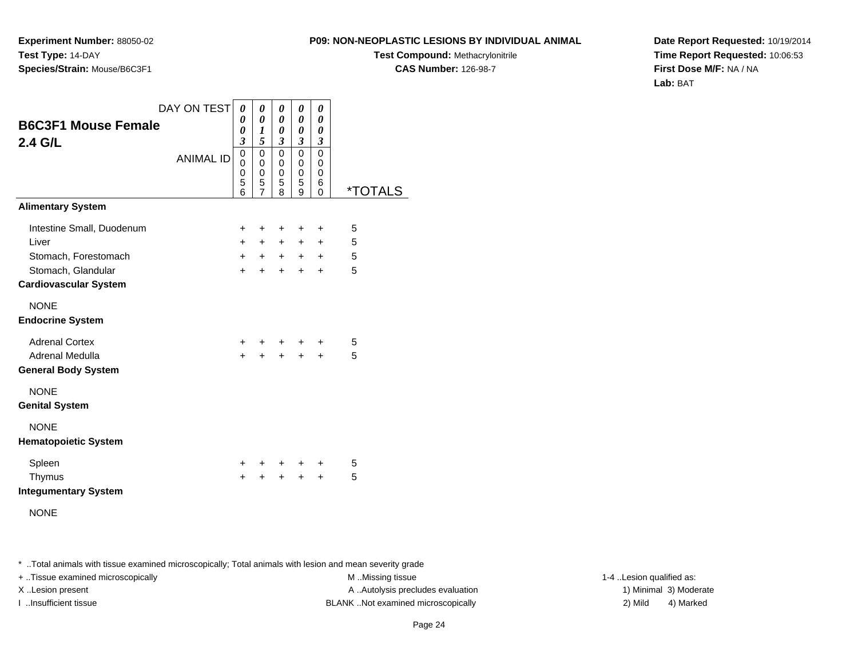**Experiment Number:** 88050-02**Test Type:** 14-DAY**Species/Strain:** Mouse/B6C3F1

**Test Compound:** Methacrylonitrile**CAS Number:** 126-98-7

**Date Report Requested:** 10/19/2014**Time Report Requested:** 10:06:53**First Dose M/F:** NA / NA**Lab:** BAT

| <b>B6C3F1 Mouse Female</b><br>2.4 G/L                                                                            | DAY ON TEST<br><b>ANIMAL ID</b> | 0<br>0<br>0<br>$\boldsymbol{\beta}$<br>$\mathbf 0$<br>0<br>0<br>5<br>6 | 0<br>0<br>1<br>5<br>$\mathbf 0$<br>0<br>$\mathbf 0$<br>5<br>$\overline{7}$ | 0<br>0<br>0<br>$\mathfrak{z}$<br>0<br>0<br>0<br>5<br>8 | 0<br>$\boldsymbol{\theta}$<br>0<br>$\mathfrak{z}$<br>$\mathbf 0$<br>0<br>0<br>5<br>9 | 0<br>0<br>0<br>3<br>$\mathbf 0$<br>0<br>0<br>6<br>0 | *TOTALS          |
|------------------------------------------------------------------------------------------------------------------|---------------------------------|------------------------------------------------------------------------|----------------------------------------------------------------------------|--------------------------------------------------------|--------------------------------------------------------------------------------------|-----------------------------------------------------|------------------|
| <b>Alimentary System</b>                                                                                         |                                 |                                                                        |                                                                            |                                                        |                                                                                      |                                                     |                  |
| Intestine Small, Duodenum<br>Liver<br>Stomach, Forestomach<br>Stomach, Glandular<br><b>Cardiovascular System</b> |                                 | $\ddot{}$<br>$+$<br>$+$<br>$\ddot{}$                                   | ÷<br>$+$<br>$+$<br>$\ddot{}$                                               | $\pm$<br>$+$<br>$+$<br>$\ddot{}$                       | ÷<br>$+$<br>$+$ $-$<br>$\ddot{}$                                                     | $\ddot{}$<br>$\pm$<br>$\pm$<br>$+$                  | 5<br>5<br>5<br>5 |
| <b>NONE</b><br><b>Endocrine System</b>                                                                           |                                 |                                                                        |                                                                            |                                                        |                                                                                      |                                                     |                  |
| <b>Adrenal Cortex</b><br>Adrenal Medulla<br><b>General Body System</b>                                           |                                 | $+$<br>$\ddot{}$                                                       | $+$                                                                        | $+$                                                    | $+$ $+$ $+$<br>$+$                                                                   | $\ddot{}$<br>$+$                                    | 5<br>5           |
| <b>NONE</b><br><b>Genital System</b>                                                                             |                                 |                                                                        |                                                                            |                                                        |                                                                                      |                                                     |                  |
| <b>NONE</b><br><b>Hematopoietic System</b>                                                                       |                                 |                                                                        |                                                                            |                                                        |                                                                                      |                                                     |                  |
| Spleen<br>Thymus<br><b>Integumentary System</b>                                                                  |                                 | $+$<br>$\ddot{}$                                                       | $+$ $-$<br>$+$                                                             | $+$<br>$+$                                             | $+$<br>$+$                                                                           | $\ddot{}$<br>$+$                                    | 5<br>5           |

NONE

\* ..Total animals with tissue examined microscopically; Total animals with lesion and mean severity grade